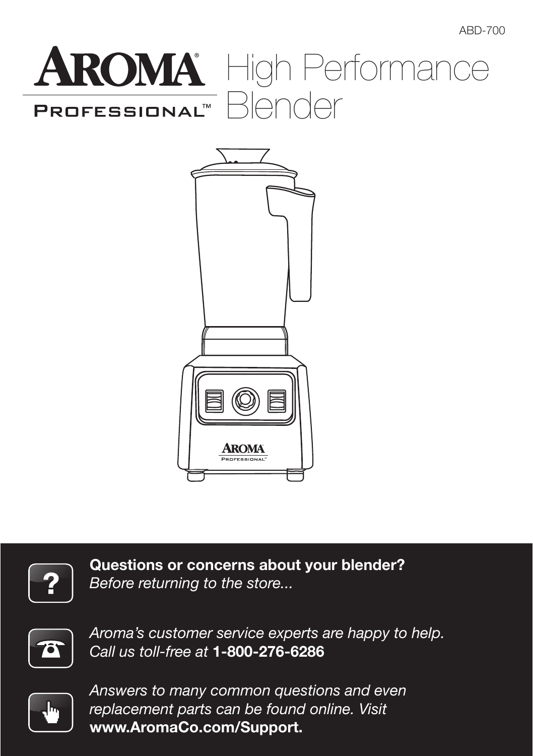





Questions or concerns about your blender? *Before returning to the store...*



*Aroma's customer service experts are happy to help. Call us toll-free at* 1-800-276-6286



*Answers to many common questions and even replacement parts can be found online. Visit* www.AromaCo.com/Support.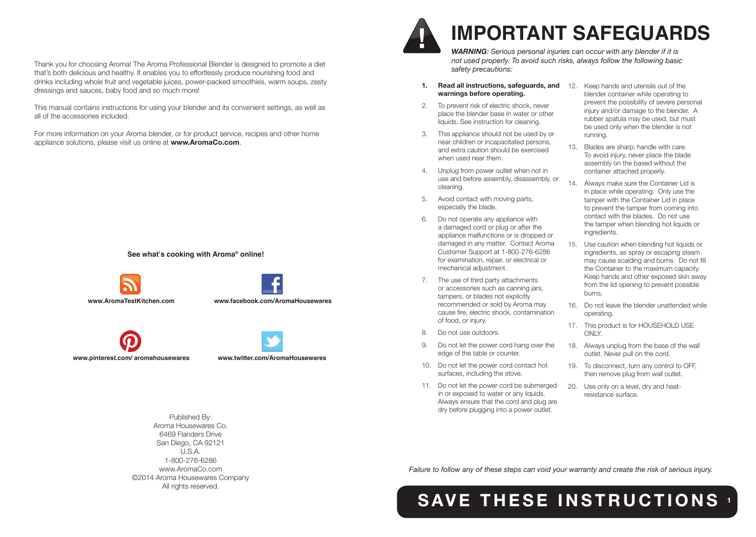Thank you for choosing Aroma! The Aroma Professional Blender is designed to promote a diet that's both delicious and healthy. It enables you to effortlessly produce nourishing food and drinks including whole fruit and vegetable juices, power-packed smoothies, warm soups, zesty dressings and sauces, baby food and so much more!

This manual contains instructions for using your blender and its convenient settings, as well as all of the accessories included.

For more information on your Aroma blender, or for product service, recipes and other home appliance solutions, please visit us online at www.AromaCo.com.

**See what's cooking with Aroma® online!**







**www.twitter.com/AromaHousewares**



## **IMPORTANT SAFEGUARDS**

*WARNING: Serious personal injuries can occur with any blender if it is not used properly. To avoid such risks, always follow the following basic safety precautions:*

#### **1.** Read all instructions, safeguards, and 12. Keep hands and utensils out of the warnings before operating.

- 2. To prevent risk of electric shock, never place the blender base in water or other liquids. See instruction for cleaning.
- 3. This appliance should not be used by or near children or incapacitated persons, and extra caution should be exercised when used near them.
- 4. Unplug from power outlet when not in use and before assembly, disassembly, or cleaning.
- 5. Avoid contact with moving parts, especially the blade.
- 6. Do not operate any appliance with a damaged cord or plug or after the appliance malfunctions or is dropped or damaged in any matter. Contact Aroma Customer Support at 1-800-276-6286 for examination, repair, or electrical or mechanical adjustment.
- 7. The use of third party attachments or accessories such as canning jars, tampers, or blades not explicitly recommended or sold by Aroma may cause fire, electric shock, contamination of food, or injury.
- 8. Do not use outdoors.
- 9. Do not let the power cord hang over the edge of the table or counter.
- 10. Do not let the power cord contact hot surfaces, including the stove.
- 11. Do not let the power cord be submerged in or exposed to water or any liquids. Always ensure that the cord and plug are dry before plugging into a power outlet.
- blender container while operating to prevent the possibility of severe personal injury and/or damage to the blender. A rubber spatula may be used, but must be used only when the blender is not running.
- 13. Blades are sharp; handle with care. To avoid injury, never place the blade assembly on the based without the container attached properly.
- 14. Always make sure the Container Lid is in place while operating. Only use the tamper with the Container Lid in place to prevent the tamper from coming into contact with the blades. Do not use the tamper when blending hot liquids or ingredients.
- 15. Use caution when blending hot liquids or ingredients, as spray or escaping steam may cause scalding and burns. Do not fill the Container to the maximum capacity. Keep hands and other exposed skin away from the lid opening to prevent possible burns.
- 16. Do not leave the blender unattended while operating.
- 17. This product is for HOUSEHOLD USE ONLY.
- 18. Always unplug from the base of the wall outlet. Never pull on the cord.
- 19. To disconnect, turn any control to OFF, then remove plug from wall outlet.
- 20. Use only on a level, dry and heatresistance surface.

Published By: Aroma Housewares Co. 6469 Flanders Drive San Diego, CA 92121  $I.S.A.$ 1-800-276-6286 www.AromaCo.com ©2014 Aroma Housewares Company All rights reserved.

*Failure to follow any of these steps can void your warranty and create the risk of serious injury.*

### SAVE THESE INSTRUCTIONS 1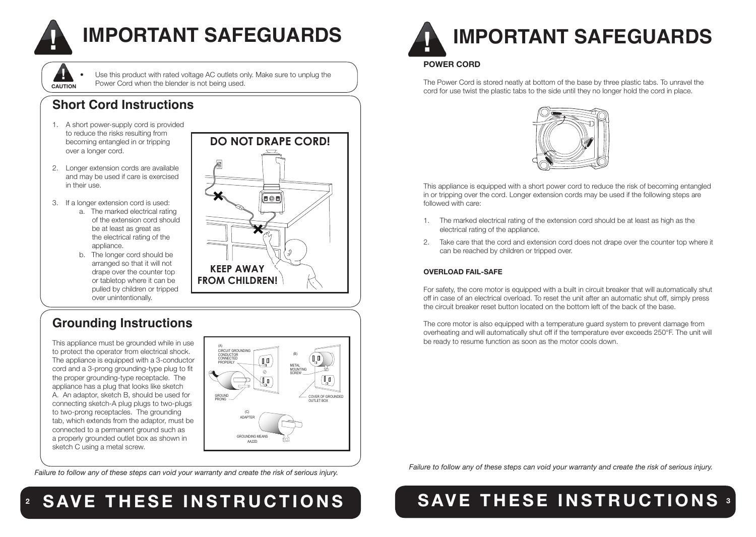



• Use this product with rated voltage AC outlets only. Make sure to unplug the **CAUTION** Power Cord when the blender is not being used.

#### **Short Cord Instructions**

- 1. A short power-supply cord is provided to reduce the risks resulting from becoming entangled in or tripping over a longer cord.
- 2. Longer extension cords are available and may be used if care is exercised in their use.
- 3. If a longer extension cord is used:
	- a. The marked electrical rating of the extension cord should be at least as great as the electrical rating of the appliance.
	- b. The longer cord should be arranged so that it will not drape over the counter top or tabletop where it can be pulled by children or tripped over unintentionally.



### **Grounding Instructions**

This appliance must be grounded while in use to protect the operator from electrical shock. The appliance is equipped with a 3-conductor cord and a 3-prong grounding-type plug to fit the proper grounding-type receptacle. The appliance has a plug that looks like sketch A. An adaptor, sketch B, should be used for connecting sketch-A plug plugs to two-plugs to two-prong receptacles. The grounding tab, which extends from the adaptor, must be connected to a permanent ground such as a properly grounded outlet box as shown in sketch C using a metal screw.



*Failure to follow any of these steps can void your warranty and create the risk of serious injury.*

# **IMPORTANT SAFEGUARDS IMPORTANT SAFEGUARDS**

#### POWER CORD

The Power Cord is stored neatly at bottom of the base by three plastic tabs. To unravel the cord for use twist the plastic tabs to the side until they no longer hold the cord in place.



This appliance is equipped with a short power cord to reduce the risk of becoming entangled in or tripping over the cord. Longer extension cords may be used if the following steps are followed with care:

- 1. The marked electrical rating of the extension cord should be at least as high as the electrical rating of the appliance.
- 2. Take care that the cord and extension cord does not drape over the counter top where it can be reached by children or tripped over.

#### OVERLOAD FAIL-SAFE

For safety, the core motor is equipped with a built in circuit breaker that will automatically shut off in case of an electrical overload. To reset the unit after an automatic shut off, simply press the circuit breaker reset button located on the bottom left of the back of the base.

The core motor is also equipped with a temperature quard system to prevent damage from overheating and will automatically shut off if the temperature ever exceeds 250°F. The unit will be ready to resume function as soon as the motor cools down.

*Failure to follow any of these steps can void your warranty and create the risk of serious injury.*

### SAVE THESE INSTRUCTIONS

### **2 SAVE THESE INSTRUCTIONS**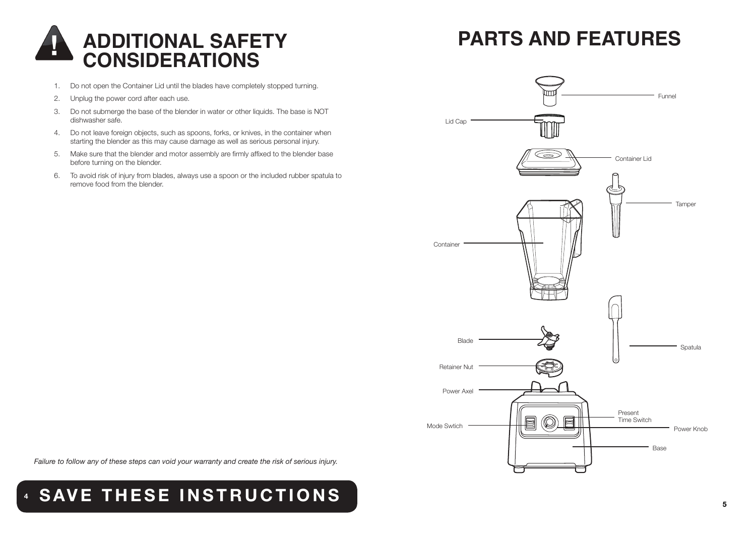

- 1. Do not open the Container Lid until the blades have completely stopped turning.
- 2. Unplug the power cord after each use.
- 3. Do not submerge the base of the blender in water or other liquids. The base is NOT dishwasher safe.
- 4. Do not leave foreign objects, such as spoons, forks, or knives, in the container when starting the blender as this may cause damage as well as serious personal injury.
- 5. Make sure that the blender and motor assembly are firmly affixed to the blender base before turning on the blender.
- 6. To avoid risk of injury from blades, always use a spoon or the included rubber spatula to remove food from the blender.

### **PARTS AND FEATURES**



*Failure to follow any of these steps can void your warranty and create the risk of serious injury.*

### 4 5 SAVE THESE INSTRUCTIONS 4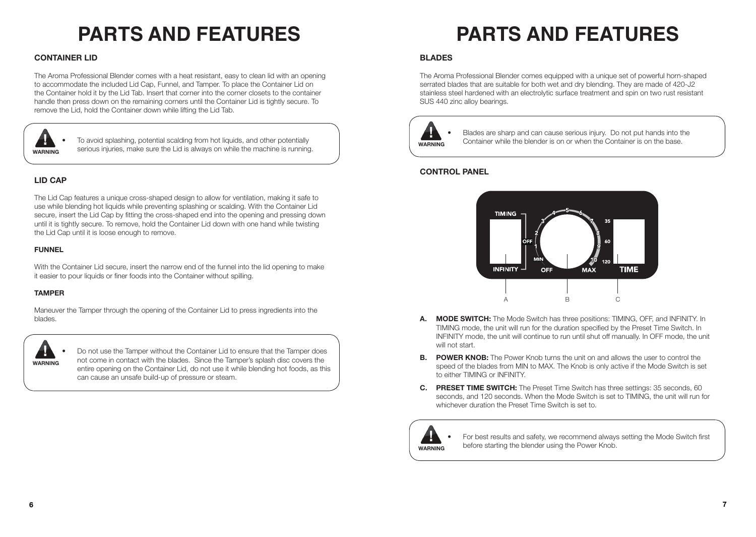## **PARTS AND FEATURES**

#### CONTAINER LID

The Aroma Professional Blender comes with a heat resistant, easy to clean lid with an opening to accommodate the included Lid Cap, Funnel, and Tamper. To place the Container Lid on the Container hold it by the Lid Tab. Insert that corner into the corner closets to the container handle then press down on the remaining corners until the Container Lid is tightly secure. To remove the Lid, hold the Container down while lifting the Lid Tab.



• To avoid splashing, potential scalding from hot liquids, and other potentially serious injuries, make sure the Lid is always on while the machine is running.

#### LID CAP

The Lid Cap features a unique cross-shaped design to allow for ventilation, making it safe to use while blending hot liquids while preventing splashing or scalding. With the Container Lid secure, insert the Lid Cap by fitting the cross-shaped end into the opening and pressing down until it is tightly secure. To remove, hold the Container Lid down with one hand while twisting the Lid Cap until it is loose enough to remove.

#### **FUNNEL**

With the Container Lid secure, insert the narrow end of the funnel into the lid opening to make it easier to pour liquids or finer foods into the Container without spilling.

#### TAMPER

Maneuver the Tamper through the opening of the Container Lid to press ingredients into the blades.



• Do not use the Tamper without the Container Lid to ensure that the Tamper does not come in contact with the blades. Since the Tamper's splash disc covers the entire opening on the Container Lid, do not use it while blending hot foods, as this can cause an unsafe build-up of pressure or steam.

### **PARTS AND FEATURES**

#### BLADES

The Aroma Professional Blender comes equipped with a unique set of powerful horn-shaped serrated blades that are suitable for both wet and dry blending. They are made of 420-J2 stainless steel hardened with an electrolytic surface treatment and spin on two rust resistant SUS 440 zinc alloy bearings.



• Blades are sharp and can cause serious injury. Do not put hands into the Container while the blender is on or when the Container is on the base.

#### CONTROL PANEL



- A. MODE SWITCH: The Mode Switch has three positions: TIMING, OFF, and INFINITY. In TIMING mode, the unit will run for the duration specified by the Preset Time Switch. In INFINITY mode, the unit will continue to run until shut off manually. In OFF mode, the unit will not start.
- **B.** POWER KNOB: The Power Knob turns the unit on and allows the user to control the speed of the blades from MIN to MAX. The Knob is only active if the Mode Switch is set to either TIMING or INFINITY.
- C. PRESET TIME SWITCH: The Preset Time Switch has three settings: 35 seconds, 60 seconds, and 120 seconds. When the Mode Switch is set to TIMING, the unit will run for whichever duration the Preset Time Switch is set to.



• For best results and safety, we recommend always setting the Mode Switch first before starting the blender using the Power Knob.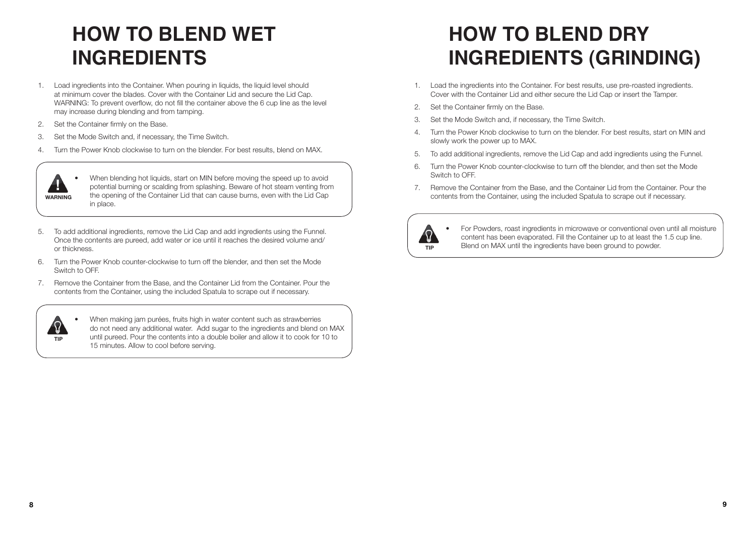### **HOW TO BLEND WET INGREDIENTS**

- 1. Load ingredients into the Container. When pouring in liquids, the liquid level should at minimum cover the blades. Cover with the Container Lid and secure the Lid Cap. WARNING: To prevent overflow, do not fill the container above the 6 cup line as the level may increase during blending and from tamping.
- 2. Set the Container firmly on the Base.
- 3. Set the Mode Switch and, if necessary, the Time Switch.
- 4. Turn the Power Knob clockwise to turn on the blender. For best results, blend on MAX.



When blending hot liquids, start on MIN before moving the speed up to avoid potential burning or scalding from splashing. Beware of hot steam venting from the opening of the Container Lid that can cause burns, even with the Lid Cap in place.

- 5. To add additional ingredients, remove the Lid Cap and add ingredients using the Funnel. Once the contents are pureed, add water or ice until it reaches the desired volume and/ or thickness.
- 6. Turn the Power Knob counter-clockwise to turn off the blender, and then set the Mode Switch to OFF.
- 7. Remove the Container from the Base, and the Container Lid from the Container. Pour the contents from the Container, using the included Spatula to scrape out if necessary.



• When making jam purées, fruits high in water content such as strawberries do not need any additional water. Add sugar to the ingredients and blend on MAX until pureed. Pour the contents into a double boiler and allow it to cook for 10 to 15 minutes. Allow to cool before serving.

### **HOW TO BLEND DRY INGREDIENTS (GRINDING)**

- 1. Load the ingredients into the Container. For best results, use pre-roasted ingredients. Cover with the Container Lid and either secure the Lid Cap or insert the Tamper.
- 2. Set the Container firmly on the Base.
- 3. Set the Mode Switch and, if necessary, the Time Switch.
- 4. Turn the Power Knob clockwise to turn on the blender. For best results, start on MIN and slowly work the power up to MAX.
- 5. To add additional ingredients, remove the Lid Cap and add ingredients using the Funnel.
- 6. Turn the Power Knob counter-clockwise to turn off the blender, and then set the Mode Switch to OFF.
- 7. Remove the Container from the Base, and the Container Lid from the Container. Pour the contents from the Container, using the included Spatula to scrape out if necessary.



• For Powders, roast ingredients in microwave or conventional oven until all moisture content has been evaporated. Fill the Container up to at least the 1.5 cup line. TIP Blend on MAX until the ingredients have been ground to powder.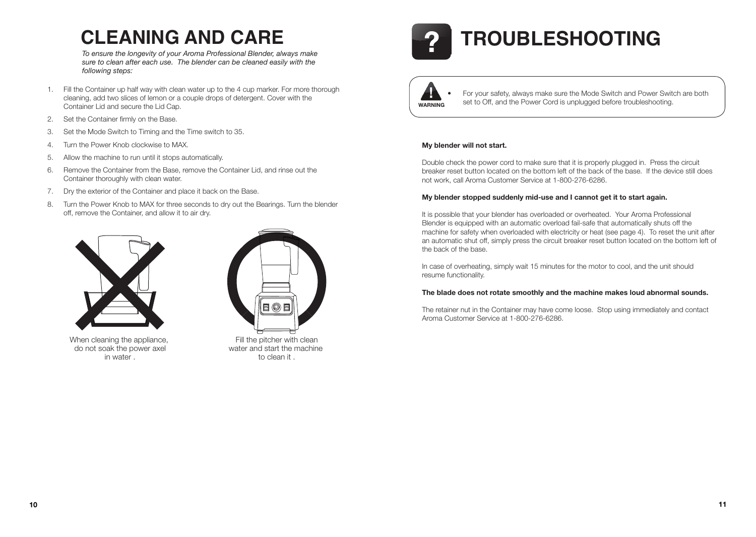### **CLEANING AND CARE**

*To ensure the longevity of your Aroma Professional Blender, always make sure to clean after each use. The blender can be cleaned easily with the following steps:*

- 1. Fill the Container up half way with clean water up to the 4 cup marker. For more thorough cleaning, add two slices of lemon or a couple drops of detergent. Cover with the Container Lid and secure the Lid Cap.
- 2. Set the Container firmly on the Base.
- 3. Set the Mode Switch to Timing and the Time switch to 35.
- 4. Turn the Power Knob clockwise to MAX.
- 5. Allow the machine to run until it stops automatically.
- 6. Remove the Container from the Base, remove the Container Lid, and rinse out the Container thoroughly with clean water.
- 7. Dry the exterior of the Container and place it back on the Base.
- 8. Turn the Power Knob to MAX for three seconds to dry out the Bearings. Turn the blender off, remove the Container, and allow it to air dry.



When cleaning the appliance, do not soak the power axel in water .



Fill the pitcher with clean water and start the machine to clean it .





• For your safety, always make sure the Mode Switch and Power Switch are both WARNING set to Off, and the Power Cord is unplugged before troubleshooting.

#### My blender will not start.

Double check the power cord to make sure that it is properly plugged in. Press the circuit breaker reset button located on the bottom left of the back of the base. If the device still does not work, call Aroma Customer Service at 1-800-276-6286.

#### My blender stopped suddenly mid-use and I cannot get it to start again.

It is possible that your blender has overloaded or overheated. Your Aroma Professional Blender is equipped with an automatic overload fail-safe that automatically shuts off the machine for safety when overloaded with electricity or heat (see page 4). To reset the unit after an automatic shut off, simply press the circuit breaker reset button located on the bottom left of the back of the base.

In case of overheating, simply wait 15 minutes for the motor to cool, and the unit should resume functionality.

#### The blade does not rotate smoothly and the machine makes loud abnormal sounds.

The retainer nut in the Container may have come loose. Stop using immediately and contact Aroma Customer Service at 1-800-276-6286.